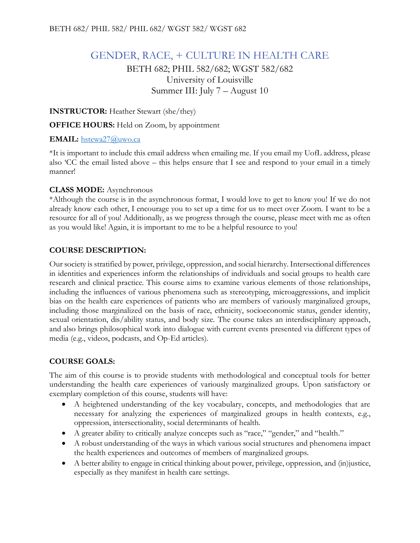# GENDER, RACE, + CULTURE IN HEALTH CARE

BETH 682; PHIL 582/682; WGST 582/682 University of Louisville Summer III: July 7 – August 10

**INSTRUCTOR:** Heather Stewart (she/they)

**OFFICE HOURS:** Held on Zoom, by appointment

# **EMAIL:** [hstewa27@uwo.ca](mailto:hstewa27@uwo.ca)

\*It is important to include this email address when emailing me. If you email my UofL address, please also 'CC the email listed above – this helps ensure that I see and respond to your email in a timely manner!

# **CLASS MODE:** Asynchronous

\*Although the course is in the asynchronous format, I would love to get to know you! If we do not already know each other, I encourage you to set up a time for us to meet over Zoom. I want to be a resource for all of you! Additionally, as we progress through the course, please meet with me as often as you would like! Again, it is important to me to be a helpful resource to you!

# **COURSE DESCRIPTION:**

Our society is stratified by power, privilege, oppression, and social hierarchy. Intersectional differences in identities and experiences inform the relationships of individuals and social groups to health care research and clinical practice. This course aims to examine various elements of those relationships, including the influences of various phenomena such as stereotyping, microaggressions, and implicit bias on the health care experiences of patients who are members of variously marginalized groups, including those marginalized on the basis of race, ethnicity, socioeconomic status, gender identity, sexual orientation, dis/ability status, and body size. The course takes an interdisciplinary approach, and also brings philosophical work into dialogue with current events presented via different types of media (e.g., videos, podcasts, and Op-Ed articles).

# **COURSE GOALS:**

The aim of this course is to provide students with methodological and conceptual tools for better understanding the health care experiences of variously marginalized groups. Upon satisfactory or exemplary completion of this course, students will have:

- A heightened understanding of the key vocabulary, concepts, and methodologies that are necessary for analyzing the experiences of marginalized groups in health contexts, e.g., oppression, intersectionality, social determinants of health.
- A greater ability to critically analyze concepts such as "race," "gender," and "health."
- A robust understanding of the ways in which various social structures and phenomena impact the health experiences and outcomes of members of marginalized groups.
- A better ability to engage in critical thinking about power, privilege, oppression, and (in)justice, especially as they manifest in health care settings.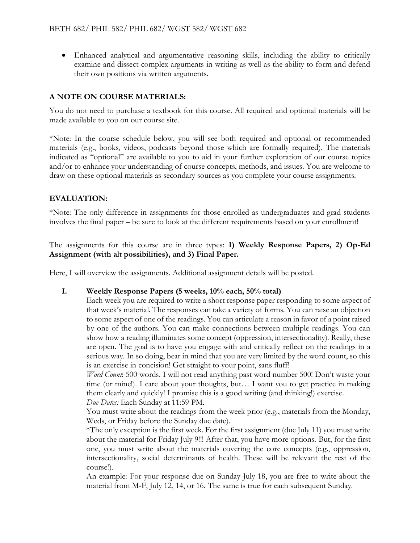• Enhanced analytical and argumentative reasoning skills, including the ability to critically examine and dissect complex arguments in writing as well as the ability to form and defend their own positions via written arguments.

# **A NOTE ON COURSE MATERIALS:**

You do not need to purchase a textbook for this course. All required and optional materials will be made available to you on our course site.

\*Note: In the course schedule below, you will see both required and optional or recommended materials (e.g., books, videos, podcasts beyond those which are formally required). The materials indicated as "optional" are available to you to aid in your further exploration of our course topics and/or to enhance your understanding of course concepts, methods, and issues. You are welcome to draw on these optional materials as secondary sources as you complete your course assignments.

#### **EVALUATION:**

\*Note: The only difference in assignments for those enrolled as undergraduates and grad students involves the final paper – be sure to look at the different requirements based on your enrollment!

The assignments for this course are in three types: **1) Weekly Response Papers, 2) Op-Ed Assignment (with alt possibilities), and 3) Final Paper.** 

Here, I will overview the assignments. Additional assignment details will be posted.

#### **I. Weekly Response Papers (5 weeks, 10% each, 50% total)**

Each week you are required to write a short response paper responding to some aspect of that week's material. The responses can take a variety of forms. You can raise an objection to some aspect of one of the readings. You can articulate a reason in favor of a point raised by one of the authors. You can make connections between multiple readings. You can show how a reading illuminates some concept (oppression, intersectionality). Really, these are open. The goal is to have you engage with and critically reflect on the readings in a serious way. In so doing, bear in mind that you are very limited by the word count, so this is an exercise in concision! Get straight to your point, sans fluff!

*Word Count*: 500 words. I will not read anything past word number 500! Don't waste your time (or mine!). I care about your thoughts, but… I want you to get practice in making them clearly and quickly! I promise this is a good writing (and thinking!) exercise.

*Due Dates:* Each Sunday at 11:59 PM.

You must write about the readings from the week prior (e.g., materials from the Monday, Weds, or Friday before the Sunday due date).

\*The only exception is the first week. For the first assignment (due July 11) you must write about the material for Friday July 9!!! After that, you have more options. But, for the first one, you must write about the materials covering the core concepts (e.g., oppression, intersectionality, social determinants of health. These will be relevant the rest of the course!).

An example: For your response due on Sunday July 18, you are free to write about the material from M-F, July 12, 14, or 16. The same is true for each subsequent Sunday.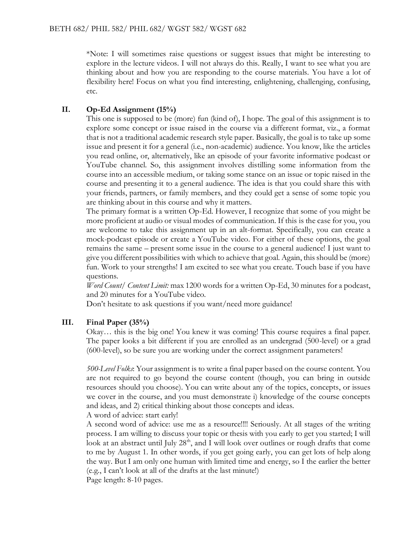\*Note: I will sometimes raise questions or suggest issues that might be interesting to explore in the lecture videos. I will not always do this. Really, I want to see what you are thinking about and how you are responding to the course materials. You have a lot of flexibility here! Focus on what you find interesting, enlightening, challenging, confusing, etc.

# **II. Op-Ed Assignment (15%)**

This one is supposed to be (more) fun (kind of), I hope. The goal of this assignment is to explore some concept or issue raised in the course via a different format, viz., a format that is not a traditional academic research style paper. Basically, the goal is to take up some issue and present it for a general (i.e., non-academic) audience. You know, like the articles you read online, or, alternatively, like an episode of your favorite informative podcast or YouTube channel. So, this assignment involves distilling some information from the course into an accessible medium, or taking some stance on an issue or topic raised in the course and presenting it to a general audience. The idea is that you could share this with your friends, partners, or family members, and they could get a sense of some topic you are thinking about in this course and why it matters.

The primary format is a written Op-Ed. However, I recognize that some of you might be more proficient at audio or visual modes of communication. If this is the case for you, you are welcome to take this assignment up in an alt-format. Specifically, you can create a mock-podcast episode or create a YouTube video. For either of these options, the goal remains the same – present some issue in the course to a general audience! I just want to give you different possibilities with which to achieve that goal. Again, this should be (more) fun. Work to your strengths! I am excited to see what you create. Touch base if you have questions.

*Word Count/ Content Limit:* max 1200 words for a written Op-Ed, 30 minutes for a podcast, and 20 minutes for a YouTube video.

Don't hesitate to ask questions if you want/need more guidance!

# **III. Final Paper (35%)**

Okay… this is the big one! You knew it was coming! This course requires a final paper. The paper looks a bit different if you are enrolled as an undergrad (500-level) or a grad (600-level), so be sure you are working under the correct assignment parameters!

*500-Level Folks*: Your assignment is to write a final paper based on the course content. You are not required to go beyond the course content (though, you can bring in outside resources should you choose). You can write about any of the topics, concepts, or issues we cover in the course, and you must demonstrate i) knowledge of the course concepts and ideas, and 2) critical thinking about those concepts and ideas. A word of advice: start early!

A second word of advice: use me as a resource!!!! Seriously. At all stages of the writing process. I am willing to discuss your topic or thesis with you early to get you started; I will look at an abstract until July 28<sup>th</sup>, and I will look over outlines or rough drafts that come to me by August 1. In other words, if you get going early, you can get lots of help along the way. But I am only one human with limited time and energy, so I the earlier the better (e.g., I can't look at all of the drafts at the last minute!)

Page length: 8-10 pages.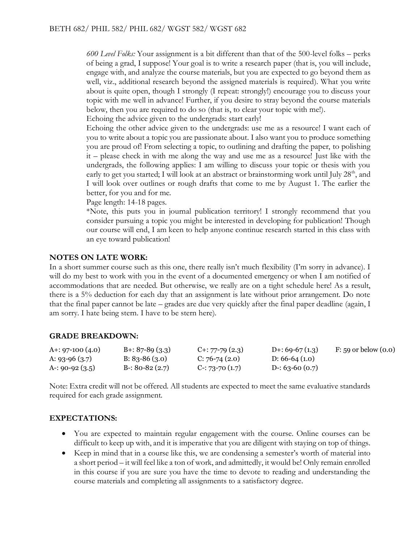*600 Level Folks:* Your assignment is a bit different than that of the 500-level folks – perks of being a grad, I suppose! Your goal is to write a research paper (that is, you will include, engage with, and analyze the course materials, but you are expected to go beyond them as well, viz., additional research beyond the assigned materials is required). What you write about is quite open, though I strongly (I repeat: strongly!) encourage you to discuss your topic with me well in advance! Further, if you desire to stray beyond the course materials below, then you are required to do so (that is, to clear your topic with me!).

Echoing the advice given to the undergrads: start early!

Echoing the other advice given to the undergrads: use me as a resource! I want each of you to write about a topic you are passionate about. I also want you to produce something you are proud of! From selecting a topic, to outlining and drafting the paper, to polishing it – please check in with me along the way and use me as a resource! Just like with the undergrads, the following applies: I am willing to discuss your topic or thesis with you early to get you started; I will look at an abstract or brainstorming work until July  $28<sup>th</sup>$ , and I will look over outlines or rough drafts that come to me by August 1. The earlier the better, for you and for me.

Page length: 14-18 pages.

\*Note, this puts you in journal publication territory! I strongly recommend that you consider pursuing a topic you might be interested in developing for publication! Though our course will end, I am keen to help anyone continue research started in this class with an eye toward publication!

#### **NOTES ON LATE WORK:**

In a short summer course such as this one, there really isn't much flexibility (I'm sorry in advance). I will do my best to work with you in the event of a documented emergency or when I am notified of accommodations that are needed. But otherwise, we really are on a tight schedule here! As a result, there is a 5% deduction for each day that an assignment is late without prior arrangement. Do note that the final paper cannot be late – grades are due very quickly after the final paper deadline (again, I am sorry. I hate being stern. I have to be stern here).

#### **GRADE BREAKDOWN:**

| A+: $97-100(4.0)$ | $B_{+}$ : 87-89 (3.3) | $C_{1}: 77-79(2.3)$ | D+: 69-67 $(1.3)$ | $F: 59$ or below $(0.0)$ |
|-------------------|-----------------------|---------------------|-------------------|--------------------------|
| A: 93-96 $(3.7)$  | B: $83-86(3.0)$       | $C: 76-74(2.0)$     | D: $66-64(1.0)$   |                          |
| A-: 90-92 $(3.5)$ | B-: 80-82 $(2.7)$     | $C-$ : 73-70 (1.7)  | D-: 63-60 $(0.7)$ |                          |

Note: Extra credit will not be offered. All students are expected to meet the same evaluative standards required for each grade assignment.

# **EXPECTATIONS:**

- You are expected to maintain regular engagement with the course. Online courses can be difficult to keep up with, and it is imperative that you are diligent with staying on top of things.
- Keep in mind that in a course like this, we are condensing a semester's worth of material into a short period – it will feel like a ton of work, and admittedly, it would be! Only remain enrolled in this course if you are sure you have the time to devote to reading and understanding the course materials and completing all assignments to a satisfactory degree.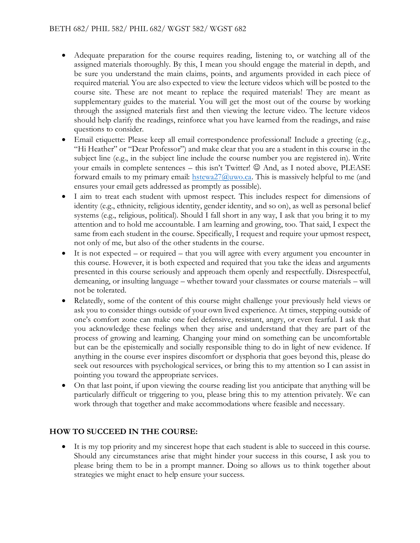- Adequate preparation for the course requires reading, listening to, or watching all of the assigned materials thoroughly. By this, I mean you should engage the material in depth, and be sure you understand the main claims, points, and arguments provided in each piece of required material. You are also expected to view the lecture videos which will be posted to the course site. These are not meant to replace the required materials! They are meant as supplementary guides to the material. You will get the most out of the course by working through the assigned materials first and then viewing the lecture video. The lecture videos should help clarify the readings, reinforce what you have learned from the readings, and raise questions to consider.
- Email etiquette: Please keep all email correspondence professional! Include a greeting (e.g., "Hi Heather" or "Dear Professor") and make clear that you are a student in this course in the subject line (e.g., in the subject line include the course number you are registered in). Write your emails in complete sentences – this isn't Twitter!  $\odot$  And, as I noted above, PLEASE forward emails to my primary email:  $hstewa27@uwo.ca.$  This is massively helpful to me (and ensures your email gets addressed as promptly as possible).
- I aim to treat each student with upmost respect. This includes respect for dimensions of identity (e.g., ethnicity, religious identity, gender identity, and so on), as well as personal belief systems (e.g., religious, political). Should I fall short in any way, I ask that you bring it to my attention and to hold me accountable. I am learning and growing, too. That said, I expect the same from each student in the course. Specifically, I request and require your upmost respect, not only of me, but also of the other students in the course.
- It is not expected or required that you will agree with every argument you encounter in this course. However, it is both expected and required that you take the ideas and arguments presented in this course seriously and approach them openly and respectfully. Disrespectful, demeaning, or insulting language – whether toward your classmates or course materials – will not be tolerated.
- Relatedly, some of the content of this course might challenge your previously held views or ask you to consider things outside of your own lived experience. At times, stepping outside of one's comfort zone can make one feel defensive, resistant, angry, or even fearful. I ask that you acknowledge these feelings when they arise and understand that they are part of the process of growing and learning. Changing your mind on something can be uncomfortable but can be the epistemically and socially responsible thing to do in light of new evidence. If anything in the course ever inspires discomfort or dysphoria that goes beyond this, please do seek out resources with psychological services, or bring this to my attention so I can assist in pointing you toward the appropriate services.
- On that last point, if upon viewing the course reading list you anticipate that anything will be particularly difficult or triggering to you, please bring this to my attention privately. We can work through that together and make accommodations where feasible and necessary.

# **HOW TO SUCCEED IN THE COURSE:**

• It is my top priority and my sincerest hope that each student is able to succeed in this course. Should any circumstances arise that might hinder your success in this course, I ask you to please bring them to be in a prompt manner. Doing so allows us to think together about strategies we might enact to help ensure your success.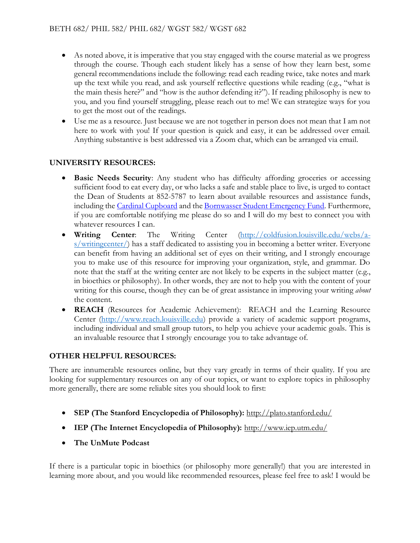- As noted above, it is imperative that you stay engaged with the course material as we progress through the course. Though each student likely has a sense of how they learn best, some general recommendations include the following: read each reading twice, take notes and mark up the text while you read, and ask yourself reflective questions while reading (e.g., "what is the main thesis here?" and "how is the author defending it?"). If reading philosophy is new to you, and you find yourself struggling, please reach out to me! We can strategize ways for you to get the most out of the readings.
- Use me as a resource. Just because we are not together in person does not mean that I am not here to work with you! If your question is quick and easy, it can be addressed over email. Anything substantive is best addressed via a Zoom chat, which can be arranged via email.

# **UNIVERSITY RESOURCES:**

- **Basic Needs Security**: Any student who has difficulty affording groceries or accessing sufficient food to eat every day, or who lacks a safe and stable place to live, is urged to contact the Dean of Students at 852-5787 to learn about available resources and assistance funds, including the [Cardinal Cupboard](https://www.facebook.com/CardinalCupboard/) and th[e Bornwasser Student Emergency Fund.](http://louisville.edu/dos/help/studentemergencyfund) Furthermore, if you are comfortable notifying me please do so and I will do my best to connect you with whatever resources I can.
- **Writing Center**: The Writing Center [\(http://coldfusion.louisville.edu/webs/a](http://coldfusion.louisville.edu/webs/a-s/writingcenter/)[s/writingcenter/\)](http://coldfusion.louisville.edu/webs/a-s/writingcenter/) has a staff dedicated to assisting you in becoming a better writer. Everyone can benefit from having an additional set of eyes on their writing, and I strongly encourage you to make use of this resource for improving your organization, style, and grammar. Do note that the staff at the writing center are not likely to be experts in the subject matter (e.g., in bioethics or philosophy). In other words, they are not to help you with the content of your writing for this course, though they can be of great assistance in improving your writing *about* the content.
- **REACH** (Resources for Academic Achievement): REACH and the Learning Resource Center [\(http://www.reach.louisville.edu\)](http://www.reach.louisville.edu/) provide a variety of academic support programs, including individual and small group tutors, to help you achieve your academic goals. This is an invaluable resource that I strongly encourage you to take advantage of.

# **OTHER HELPFUL RESOURCES:**

There are innumerable resources online, but they vary greatly in terms of their quality. If you are looking for supplementary resources on any of our topics, or want to explore topics in philosophy more generally, there are some reliable sites you should look to first:

- **SEP (The Stanford Encyclopedia of Philosophy):** <http://plato.stanford.edu/>
- **IEP (The Internet Encyclopedia of Philosophy):** <http://www.iep.utm.edu/>
- **The UnMute Podcast**

If there is a particular topic in bioethics (or philosophy more generally!) that you are interested in learning more about, and you would like recommended resources, please feel free to ask! I would be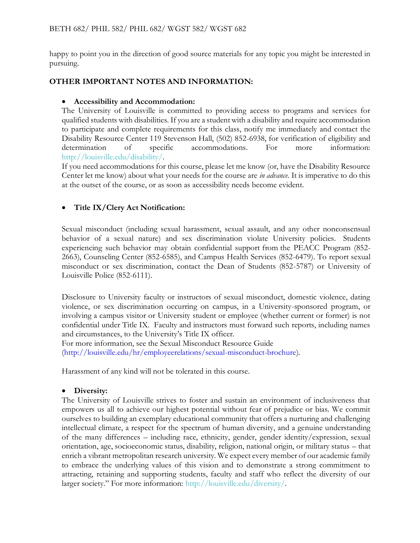happy to point you in the direction of good source materials for any topic you might be interested in pursuing.

#### **OTHER IMPORTANT NOTES AND INFORMATION:**

#### • **Accessibility and Accommodation:**

The University of Louisville is committed to providing access to programs and services for qualified students with disabilities. If you are a student with a disability and require accommodation to participate and complete requirements for this class, notify me immediately and contact the Disability Resource Center 119 Stevenson Hall, (502) 852-6938, for verification of eligibility and determination of specific accommodations. For more information: [http://louisville.edu/disability/.](http://louisville.edu/disability/)

If you need accommodations for this course, please let me know (or, have the Disability Resource Center let me know) about what your needs for the course are *in advance.* It is imperative to do this at the outset of the course, or as soon as accessibility needs become evident.

# • **Title IX/Clery Act Notification:**

Sexual misconduct (including sexual harassment, sexual assault, and any other nonconsensual behavior of a sexual nature) and sex discrimination violate University policies. Students experiencing such behavior may obtain confidential support from the PEACC Program (852- 2663), Counseling Center (852-6585), and Campus Health Services (852-6479). To report sexual misconduct or sex discrimination, contact the Dean of Students (852-5787) or University of Louisville Police (852-6111).

Disclosure to University faculty or instructors of sexual misconduct, domestic violence, dating violence, or sex discrimination occurring on campus, in a University-sponsored program, or involving a campus visitor or University student or employee (whether current or former) is not confidential under Title IX. Faculty and instructors must forward such reports, including names and circumstances, to the University's Title IX officer.

For more information, see the Sexual Misconduct Resource Guide [\(http://louisville.edu/hr/employeerelations/sexual-misconduct-brochure\)](http://louisville.edu/hr/employeerelations/sexual-misconduct-brochure).

Harassment of any kind will not be tolerated in this course.

#### • **Diversity:**

The University of Louisville strives to foster and sustain an environment of inclusiveness that empowers us all to achieve our highest potential without fear of prejudice or bias. We commit ourselves to building an exemplary educational community that offers a nurturing and challenging intellectual climate, a respect for the spectrum of human diversity, and a genuine understanding of the many differences – including race, ethnicity, gender, gender identity/expression, sexual orientation, age, socioeconomic status, disability, religion, national origin, or military status – that enrich a vibrant metropolitan research university. We expect every member of our academic family to embrace the underlying values of this vision and to demonstrate a strong commitment to attracting, retaining and supporting students, faculty and staff who reflect the diversity of our larger society." For more information: [http://louisville.edu/diversity/.](http://louisville.edu/diversity/)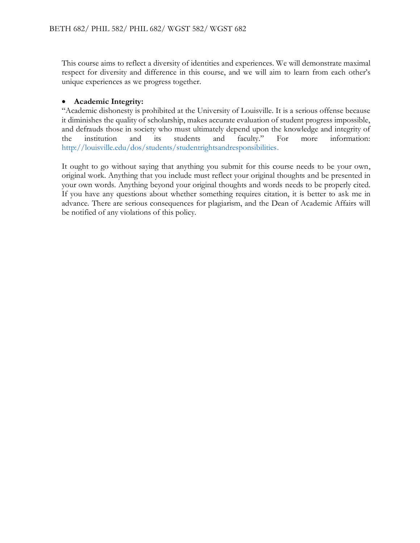This course aims to reflect a diversity of identities and experiences. We will demonstrate maximal respect for diversity and difference in this course, and we will aim to learn from each other's unique experiences as we progress together.

### • **Academic Integrity:**

"Academic dishonesty is prohibited at the University of Louisville. It is a serious offense because it diminishes the quality of scholarship, makes accurate evaluation of student progress impossible, and defrauds those in society who must ultimately depend upon the knowledge and integrity of the institution and its students and faculty." For more information: [http://louisville.edu/dos/students/studentrightsandresponsibilities.](http://louisville.edu/dos/students/studentrightsandresponsibilities)

It ought to go without saying that anything you submit for this course needs to be your own, original work. Anything that you include must reflect your original thoughts and be presented in your own words. Anything beyond your original thoughts and words needs to be properly cited. If you have any questions about whether something requires citation, it is better to ask me in advance. There are serious consequences for plagiarism, and the Dean of Academic Affairs will be notified of any violations of this policy.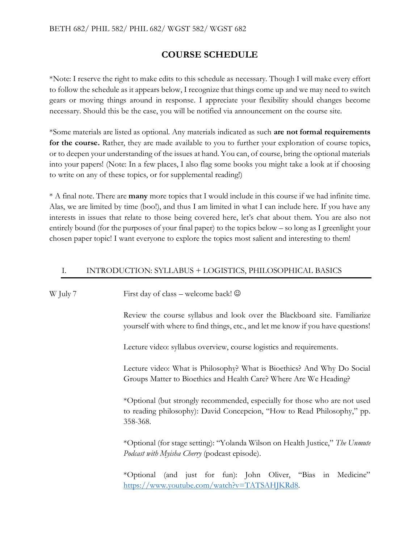# **COURSE SCHEDULE**

\*Note: I reserve the right to make edits to this schedule as necessary. Though I will make every effort to follow the schedule as it appears below, I recognize that things come up and we may need to switch gears or moving things around in response. I appreciate your flexibility should changes become necessary. Should this be the case, you will be notified via announcement on the course site.

\*Some materials are listed as optional. Any materials indicated as such **are not formal requirements for the course.** Rather, they are made available to you to further your exploration of course topics, or to deepen your understanding of the issues at hand. You can, of course, bring the optional materials into your papers! (Note: In a few places, I also flag some books you might take a look at if choosing to write on any of these topics, or for supplemental reading!)

\* A final note. There are **many** more topics that I would include in this course if we had infinite time. Alas, we are limited by time (boo!), and thus I am limited in what I can include here. If you have any interests in issues that relate to those being covered here, let's chat about them. You are also not entirely bound (for the purposes of your final paper) to the topics below – so long as I greenlight your chosen paper topic! I want everyone to explore the topics most salient and interesting to them!

#### I. INTRODUCTION: SYLLABUS + LOGISTICS, PHILOSOPHICAL BASICS

| W July 7 | First day of class – welcome back! $\odot$                                                                                                                                                                                            |  |  |  |
|----------|---------------------------------------------------------------------------------------------------------------------------------------------------------------------------------------------------------------------------------------|--|--|--|
|          | Review the course syllabus and look over the Blackboard site. Familiarize<br>yourself with where to find things, etc., and let me know if you have questions!<br>Lecture video: syllabus overview, course logistics and requirements. |  |  |  |
|          |                                                                                                                                                                                                                                       |  |  |  |
|          | *Optional (but strongly recommended, especially for those who are not used<br>to reading philosophy): David Concepcion, "How to Read Philosophy," pp.<br>358-368.                                                                     |  |  |  |
|          | *Optional (for stage setting): "Yolanda Wilson on Health Justice," The Unmute<br>Podcast with Myisha Cherry (podcast episode).                                                                                                        |  |  |  |
|          | *Optional (and just for fun): John Oliver, "Bias in<br>Medicine"<br>https://www.youtube.com/watch?v=TATSAHJKRd8.                                                                                                                      |  |  |  |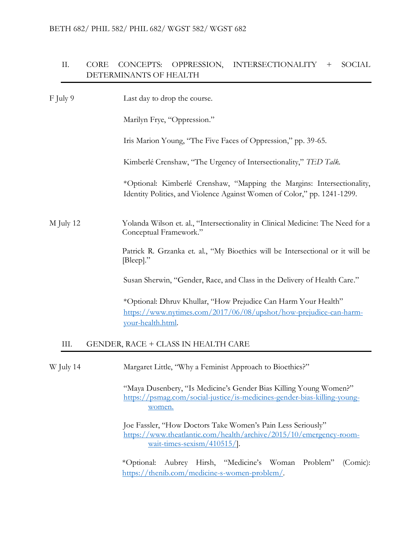# II. CORE CONCEPTS: OPPRESSION, INTERSECTIONALITY + SOCIAL DETERMINANTS OF HEALTH

| F July 9  | Last day to drop the course.                                                                                                                             |
|-----------|----------------------------------------------------------------------------------------------------------------------------------------------------------|
|           | Marilyn Frye, "Oppression."                                                                                                                              |
|           | Iris Marion Young, "The Five Faces of Oppression," pp. 39-65.                                                                                            |
|           | Kimberlé Crenshaw, "The Urgency of Intersectionality," TED Talk.                                                                                         |
|           | *Optional: Kimberlé Crenshaw, "Mapping the Margins: Intersectionality,<br>Identity Politics, and Violence Against Women of Color," pp. 1241-1299.        |
| M July 12 | Yolanda Wilson et. al., "Intersectionality in Clinical Medicine: The Need for a<br>Conceptual Framework."                                                |
|           | Patrick R. Grzanka et. al., "My Bioethics will be Intersectional or it will be<br>[Bleep]."                                                              |
|           | Susan Sherwin, "Gender, Race, and Class in the Delivery of Health Care."                                                                                 |
|           | *Optional: Dhruv Khullar, "How Prejudice Can Harm Your Health"<br>https://www.nytimes.com/2017/06/08/upshot/how-prejudice-can-harm-<br>your-health.html. |
| III.      | GENDER, RACE + CLASS IN HEALTH CARE                                                                                                                      |
| W July 14 | Margaret Little, "Why a Feminist Approach to Bioethics?"                                                                                                 |
|           | "Maya Dusenbery, "Is Medicine's Gender Bias Killing Young Women?"<br>https://psmag.com/social-justice/is-medicines-gender-bias-killing-young-<br>women.  |

Joe Fassler, "How Doctors Take Women's Pain Less Seriously" [https://www.theatlantic.com/health/archive/2015/10/emergency-room](https://www.theatlantic.com/health/archive/2015/10/emergency-room-wait-times-sexism/410515/)[wait-times-sexism/410515/\]](https://www.theatlantic.com/health/archive/2015/10/emergency-room-wait-times-sexism/410515/).

\*Optional: Aubrey Hirsh, "Medicine's Woman Problem" (Comic): [https://thenib.com/medicine-s-women-problem/.](https://thenib.com/medicine-s-women-problem/)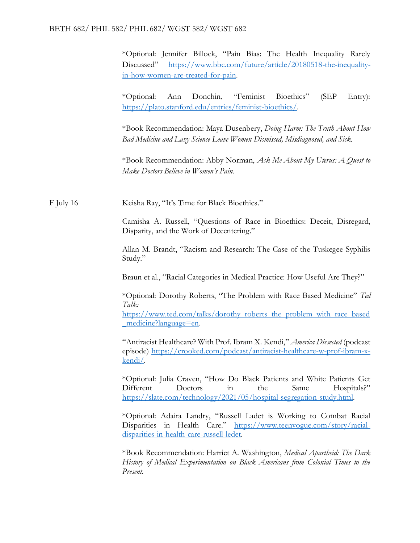#### BETH 682/ PHIL 582/ PHIL 682/ WGST 582/ WGST 682

\*Optional: Jennifer Billock, "Pain Bias: The Health Inequality Rarely Discussed" [https://www.bbc.com/future/article/20180518-the-inequality](https://www.bbc.com/future/article/20180518-the-inequality-in-how-women-are-treated-for-pain)[in-how-women-are-treated-for-pain.](https://www.bbc.com/future/article/20180518-the-inequality-in-how-women-are-treated-for-pain)

\*Optional: Ann Donchin, "Feminist Bioethics" (SEP Entry): [https://plato.stanford.edu/entries/feminist-bioethics/.](https://plato.stanford.edu/entries/feminist-bioethics/)

\*Book Recommendation: Maya Dusenbery, *Doing Harm: The Truth About How Bad Medicine and Lazy Science Leave Women Dismissed, Misdiagnosed, and Sick.* 

\*Book Recommendation: Abby Norman, *Ask Me About My Uterus: A Quest to Make Doctors Believe in Women's Pain.* 

F July 16 Keisha Ray, "It's Time for Black Bioethics."

Camisha A. Russell, "Questions of Race in Bioethics: Deceit, Disregard, Disparity, and the Work of Decentering."

Allan M. Brandt, "Racism and Research: The Case of the Tuskegee Syphilis Study."

Braun et al., "Racial Categories in Medical Practice: How Useful Are They?"

\*Optional: Dorothy Roberts, "The Problem with Race Based Medicine" *Ted Talk:* 

[https://www.ted.com/talks/dorothy\\_roberts\\_the\\_problem\\_with\\_race\\_based](https://www.ted.com/talks/dorothy_roberts_the_problem_with_race_based_medicine?language=en) [\\_medicine?language=en.](https://www.ted.com/talks/dorothy_roberts_the_problem_with_race_based_medicine?language=en)

"Antiracist Healthcare? With Prof. Ibram X. Kendi," *America Dissected* (podcast episode) [https://crooked.com/podcast/antiracist-healthcare-w-prof-ibram-x](https://crooked.com/podcast/antiracist-healthcare-w-prof-ibram-x-kendi/)[kendi/.](https://crooked.com/podcast/antiracist-healthcare-w-prof-ibram-x-kendi/)

\*Optional: Julia Craven, "How Do Black Patients and White Patients Get Different Doctors in the Same Hospitals?" [https://slate.com/technology/2021/05/hospital-segregation-study.html.](https://slate.com/technology/2021/05/hospital-segregation-study.html)

\*Optional: Adaira Landry, "Russell Ladet is Working to Combat Racial Disparities in Health Care." [https://www.teenvogue.com/story/racial](https://www.teenvogue.com/story/racial-disparities-in-health-care-russell-ledet)[disparities-in-health-care-russell-ledet.](https://www.teenvogue.com/story/racial-disparities-in-health-care-russell-ledet)

\*Book Recommendation: Harriet A. Washington, *Medical Apartheid: The Dark History of Medical Experimentation on Black Americans from Colonial Times to the Present.*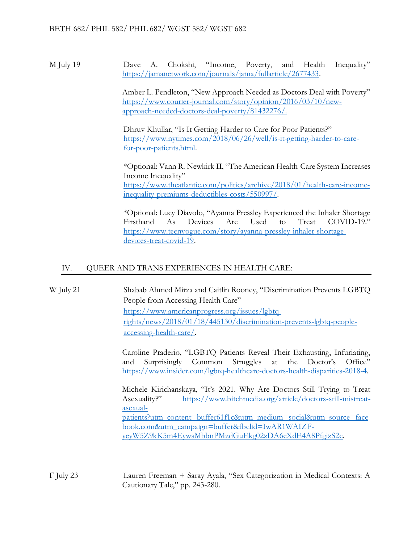M July 19 Dave A. Chokshi, "Income, Poverty, and Health Inequality" [https://jamanetwork.com/journals/jama/fullarticle/2677433.](https://jamanetwork.com/journals/jama/fullarticle/2677433)

> Amber L. Pendleton, "New Approach Needed as Doctors Deal with Poverty" [https://www.courier-journal.com/story/opinion/2016/03/10/new](https://www.courier-journal.com/story/opinion/2016/03/10/new-approach-needed-doctors-deal-poverty/81432276/)[approach-needed-doctors-deal-poverty/81432276/.](https://www.courier-journal.com/story/opinion/2016/03/10/new-approach-needed-doctors-deal-poverty/81432276/)

Dhruv Khullar, "Is It Getting Harder to Care for Poor Patients?" [https://www.nytimes.com/2018/06/26/well/is-it-getting-harder-to-care](https://www.nytimes.com/2018/06/26/well/is-it-getting-harder-to-care-for-poor-patients.html)[for-poor-patients.html.](https://www.nytimes.com/2018/06/26/well/is-it-getting-harder-to-care-for-poor-patients.html)

\*Optional: Vann R. Newkirk II, "The American Health-Care System Increases Income Inequality" [https://www.theatlantic.com/politics/archive/2018/01/health-care-income](https://www.theatlantic.com/politics/archive/2018/01/health-care-income-inequality-premiums-deductibles-costs/550997/)[inequality-premiums-deductibles-costs/550997/.](https://www.theatlantic.com/politics/archive/2018/01/health-care-income-inequality-premiums-deductibles-costs/550997/)

\*Optional: Lucy Diavolo, "Ayanna Pressley Experienced the Inhaler Shortage Firsthand As Devices Are Used to Treat COVID-19." [https://www.teenvogue.com/story/ayanna-pressley-inhaler-shortage](https://www.teenvogue.com/story/ayanna-pressley-inhaler-shortage-devices-treat-covid-19)[devices-treat-covid-19.](https://www.teenvogue.com/story/ayanna-pressley-inhaler-shortage-devices-treat-covid-19)

# IV. QUEER AND TRANS EXPERIENCES IN HEALTH CARE:

W July 21 Shabab Ahmed Mirza and Caitlin Rooney, "Discrimination Prevents LGBTQ People from Accessing Health Care" [https://www.americanprogress.org/issues/lgbtq](https://www.americanprogress.org/issues/lgbtq-rights/news/2018/01/18/445130/discrimination-prevents-lgbtq-people-accessing-health-care/)[rights/news/2018/01/18/445130/discrimination-prevents-lgbtq-people](https://www.americanprogress.org/issues/lgbtq-rights/news/2018/01/18/445130/discrimination-prevents-lgbtq-people-accessing-health-care/)[accessing-health-care/.](https://www.americanprogress.org/issues/lgbtq-rights/news/2018/01/18/445130/discrimination-prevents-lgbtq-people-accessing-health-care/)

> Caroline Praderio, "LGBTQ Patients Reveal Their Exhausting, Infuriating, and Surprisingly Common Struggles at the Doctor's Office" [https://www.insider.com/lgbtq-healthcare-doctors-health-disparities-2018-4.](https://www.insider.com/lgbtq-healthcare-doctors-health-disparities-2018-4)

> Michele Kirichanskaya, "It's 2021. Why Are Doctors Still Trying to Treat Asexuality?" [https://www.bitchmedia.org/article/doctors-still-mistreat](https://www.bitchmedia.org/article/doctors-still-mistreat-asexual-patients?utm_content=buffer61f1c&utm_medium=social&utm_source=facebook.com&utm_campaign=buffer&fbclid=IwAR1WAIZF-yeyW5Z9kK5m4EywsMbbnPMzdGuEkg02zDA6eXdE4A8PfgizS2c)[asexual](https://www.bitchmedia.org/article/doctors-still-mistreat-asexual-patients?utm_content=buffer61f1c&utm_medium=social&utm_source=facebook.com&utm_campaign=buffer&fbclid=IwAR1WAIZF-yeyW5Z9kK5m4EywsMbbnPMzdGuEkg02zDA6eXdE4A8PfgizS2c)[patients?utm\\_content=buffer61f1c&utm\\_medium=social&utm\\_source=face](https://www.bitchmedia.org/article/doctors-still-mistreat-asexual-patients?utm_content=buffer61f1c&utm_medium=social&utm_source=facebook.com&utm_campaign=buffer&fbclid=IwAR1WAIZF-yeyW5Z9kK5m4EywsMbbnPMzdGuEkg02zDA6eXdE4A8PfgizS2c) [book.com&utm\\_campaign=buffer&fbclid=IwAR1WAIZF](https://www.bitchmedia.org/article/doctors-still-mistreat-asexual-patients?utm_content=buffer61f1c&utm_medium=social&utm_source=facebook.com&utm_campaign=buffer&fbclid=IwAR1WAIZF-yeyW5Z9kK5m4EywsMbbnPMzdGuEkg02zDA6eXdE4A8PfgizS2c)[yeyW5Z9kK5m4EywsMbbnPMzdGuEkg02zDA6eXdE4A8PfgizS2c.](https://www.bitchmedia.org/article/doctors-still-mistreat-asexual-patients?utm_content=buffer61f1c&utm_medium=social&utm_source=facebook.com&utm_campaign=buffer&fbclid=IwAR1WAIZF-yeyW5Z9kK5m4EywsMbbnPMzdGuEkg02zDA6eXdE4A8PfgizS2c)

F July 23 Lauren Freeman + Saray Ayala, "Sex Categorization in Medical Contexts: A Cautionary Tale," pp. 243-280.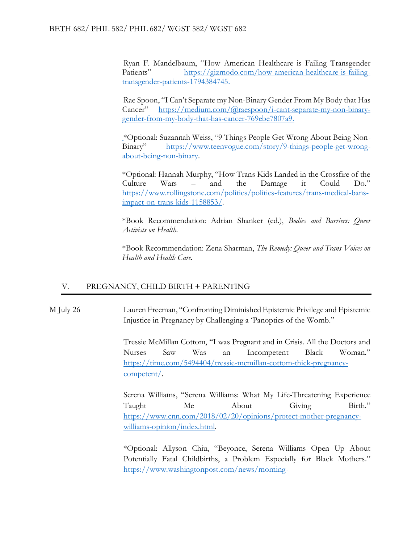Ryan F. Mandelbaum, "How American Healthcare is Failing Transgender Patients" [https://gizmodo.com/how-american-healthcare-is-failing](https://gizmodo.com/how-american-healthcare-is-failing-transgender-patients-1794384745)[transgender-patients-1794384745.](https://gizmodo.com/how-american-healthcare-is-failing-transgender-patients-1794384745)

Rae Spoon, "I Can't Separate my Non-Binary Gender From My Body that Has Cancer" [https://medium.com/@raespoon/i-cant-separate-my-non-binary](https://medium.com/@raespoon/i-cant-separate-my-non-binary-gender-from-my-body-that-has-cancer-769ebe7807a9)[gender-from-my-body-that-has-cancer-769ebe7807a9.](https://medium.com/@raespoon/i-cant-separate-my-non-binary-gender-from-my-body-that-has-cancer-769ebe7807a9)

\*Optional: Suzannah Weiss, "9 Things People Get Wrong About Being Non-Binary" [https://www.teenvogue.com/story/9-things-people-get-wrong](https://www.teenvogue.com/story/9-things-people-get-wrong-about-being-non-binary)[about-being-non-binary.](https://www.teenvogue.com/story/9-things-people-get-wrong-about-being-non-binary)

\*Optional: Hannah Murphy, "How Trans Kids Landed in the Crossfire of the Culture Wars – and the Damage it Could Do." [https://www.rollingstone.com/politics/politics-features/trans-medical-bans](https://www.rollingstone.com/politics/politics-features/trans-medical-bans-impact-on-trans-kids-1158853/)[impact-on-trans-kids-1158853/.](https://www.rollingstone.com/politics/politics-features/trans-medical-bans-impact-on-trans-kids-1158853/)

\*Book Recommendation: Adrian Shanker (ed.), *Bodies and Barriers: Queer Activists on Health.* 

\*Book Recommendation: Zena Sharman, *The Remedy: Queer and Trans Voices on Health and Health Care.* 

#### V. PREGNANCY, CHILD BIRTH + PARENTING

M July 26 Lauren Freeman, "Confronting Diminished Epistemic Privilege and Epistemic Injustice in Pregnancy by Challenging a 'Panoptics of the Womb."

> Tressie McMillan Cottom, "I was Pregnant and in Crisis. All the Doctors and Nurses Saw Was an Incompetent Black Woman." [https://time.com/5494404/tressie-mcmillan-cottom-thick-pregnancy](https://time.com/5494404/tressie-mcmillan-cottom-thick-pregnancy-competent/)[competent/.](https://time.com/5494404/tressie-mcmillan-cottom-thick-pregnancy-competent/)

> Serena Williams, "Serena Williams: What My Life-Threatening Experience Taught Me About Giving Birth." [https://www.cnn.com/2018/02/20/opinions/protect-mother-pregnancy](https://www.cnn.com/2018/02/20/opinions/protect-mother-pregnancy-williams-opinion/index.html)[williams-opinion/index.html.](https://www.cnn.com/2018/02/20/opinions/protect-mother-pregnancy-williams-opinion/index.html)

> \*Optional: Allyson Chiu, "Beyonce, Serena Williams Open Up About Potentially Fatal Childbirths, a Problem Especially for Black Mothers." [https://www.washingtonpost.com/news/morning-](https://www.washingtonpost.com/news/morning-mix/wp/2018/08/07/beyonce-serena-williams-open-up-about-potentially-fatal-childbirths-a-problem-especially-for-black-mothers/)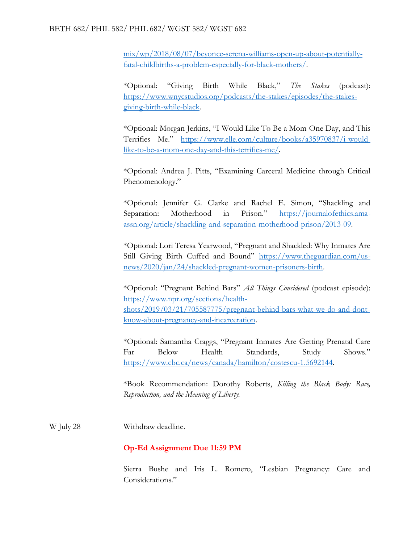[mix/wp/2018/08/07/beyonce-serena-williams-open-up-about-potentially](https://www.washingtonpost.com/news/morning-mix/wp/2018/08/07/beyonce-serena-williams-open-up-about-potentially-fatal-childbirths-a-problem-especially-for-black-mothers/)[fatal-childbirths-a-problem-especially-for-black-mothers/.](https://www.washingtonpost.com/news/morning-mix/wp/2018/08/07/beyonce-serena-williams-open-up-about-potentially-fatal-childbirths-a-problem-especially-for-black-mothers/)

\*Optional: "Giving Birth While Black," *The Stakes* (podcast): [https://www.wnycstudios.org/podcasts/the-stakes/episodes/the-stakes](https://www.wnycstudios.org/podcasts/the-stakes/episodes/the-stakes-giving-birth-while-black)[giving-birth-while-black.](https://www.wnycstudios.org/podcasts/the-stakes/episodes/the-stakes-giving-birth-while-black)

\*Optional: Morgan Jerkins, "I Would Like To Be a Mom One Day, and This Terrifies Me." [https://www.elle.com/culture/books/a35970837/i-would](https://www.elle.com/culture/books/a35970837/i-would-like-to-be-a-mom-one-day-and-this-terrifies-me/)[like-to-be-a-mom-one-day-and-this-terrifies-me/.](https://www.elle.com/culture/books/a35970837/i-would-like-to-be-a-mom-one-day-and-this-terrifies-me/)

\*Optional: Andrea J. Pitts, "Examining Carceral Medicine through Critical Phenomenology."

\*Optional: Jennifer G. Clarke and Rachel E. Simon, "Shackling and Separation: Motherhood in Prison." [https://journalofethics.ama](https://journalofethics.ama-assn.org/article/shackling-and-separation-motherhood-prison/2013-09)[assn.org/article/shackling-and-separation-motherhood-prison/2013-09.](https://journalofethics.ama-assn.org/article/shackling-and-separation-motherhood-prison/2013-09)

\*Optional: Lori Teresa Yearwood, "Pregnant and Shackled: Why Inmates Are Still Giving Birth Cuffed and Bound" [https://www.theguardian.com/us](https://www.theguardian.com/us-news/2020/jan/24/shackled-pregnant-women-prisoners-birth)[news/2020/jan/24/shackled-pregnant-women-prisoners-birth.](https://www.theguardian.com/us-news/2020/jan/24/shackled-pregnant-women-prisoners-birth)

\*Optional: "Pregnant Behind Bars" *All Things Considered* (podcast episode): [https://www.npr.org/sections/health](https://www.npr.org/sections/health-shots/2019/03/21/705587775/pregnant-behind-bars-what-we-do-and-dont-know-about-pregnancy-and-incarceration)[shots/2019/03/21/705587775/pregnant-behind-bars-what-we-do-and-dont](https://www.npr.org/sections/health-shots/2019/03/21/705587775/pregnant-behind-bars-what-we-do-and-dont-know-about-pregnancy-and-incarceration)[know-about-pregnancy-and-incarceration.](https://www.npr.org/sections/health-shots/2019/03/21/705587775/pregnant-behind-bars-what-we-do-and-dont-know-about-pregnancy-and-incarceration)

\*Optional: Samantha Craggs, "Pregnant Inmates Are Getting Prenatal Care Far Below Health Standards, Study Shows." [https://www.cbc.ca/news/canada/hamilton/costescu-1.5692144.](https://www.cbc.ca/news/canada/hamilton/costescu-1.5692144)

\*Book Recommendation: Dorothy Roberts, *Killing the Black Body: Race, Reproduction, and the Meaning of Liberty.* 

W July 28 Withdraw deadline.

# **Op-Ed Assignment Due 11:59 PM**

Sierra Bushe and Iris L. Romero, "Lesbian Pregnancy: Care and Considerations."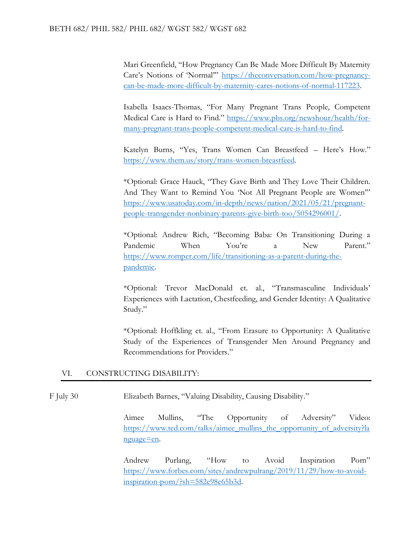Mari Greenfield, "How Pregnancy Can Be Made More Difficult By Maternity Care's Notions of 'Normal'" [https://theconversation.com/how-pregnancy](https://theconversation.com/how-pregnancy-can-be-made-more-difficult-by-maternity-cares-notions-of-normal-117223)[can-be-made-more-difficult-by-maternity-cares-notions-of-normal-117223.](https://theconversation.com/how-pregnancy-can-be-made-more-difficult-by-maternity-cares-notions-of-normal-117223)

Isabella Isaacs-Thomas, "For Many Pregnant Trans People, Competent Medical Care is Hard to Find." [https://www.pbs.org/newshour/health/for](https://www.pbs.org/newshour/health/for-many-pregnant-trans-people-competent-medical-care-is-hard-to-find)[many-pregnant-trans-people-competent-medical-care-is-hard-to-find.](https://www.pbs.org/newshour/health/for-many-pregnant-trans-people-competent-medical-care-is-hard-to-find)

Katelyn Burns, "Yes, Trans Women Can Breastfeed – Here's How." [https://www.them.us/story/trans-women-breastfeed.](https://www.them.us/story/trans-women-breastfeed)

\*Optional: Grace Hauck, "They Gave Birth and They Love Their Children. And They Want to Remind You 'Not All Pregnant People are Women'" [https://www.usatoday.com/in-depth/news/nation/2021/05/21/pregnant](https://www.usatoday.com/in-depth/news/nation/2021/05/21/pregnant-people-transgender-nonbinary-parents-give-birth-too/5054296001/)[people-transgender-nonbinary-parents-give-birth-too/5054296001/.](https://www.usatoday.com/in-depth/news/nation/2021/05/21/pregnant-people-transgender-nonbinary-parents-give-birth-too/5054296001/)

\*Optional: Andrew Rich, "Becoming Baba: On Transitioning During a Pandemic When You're a New Parent." [https://www.romper.com/life/transitioning-as-a-parent-during-the](https://www.romper.com/life/transitioning-as-a-parent-during-the-pandemic)[pandemic.](https://www.romper.com/life/transitioning-as-a-parent-during-the-pandemic)

\*Optional: Trevor MacDonald et. al., "Transmasculine Individuals' Experiences with Lactation, Chestfeeding, and Gender Identity: A Qualitative Study."

\*Optional: Hoffkling et. al., "From Erasure to Opportunity: A Qualitative Study of the Experiences of Transgender Men Around Pregnancy and Recommendations for Providers."

#### VI. CONSTRUCTING DISABILITY:

F July 30 Elizabeth Barnes, "Valuing Disability, Causing Disability."

Aimee Mullins, "The Opportunity of Adversity" Video: [https://www.ted.com/talks/aimee\\_mullins\\_the\\_opportunity\\_of\\_adversity?la](https://www.ted.com/talks/aimee_mullins_the_opportunity_of_adversity?language=en) [nguage=en.](https://www.ted.com/talks/aimee_mullins_the_opportunity_of_adversity?language=en)

Andrew Purlang, "How to Avoid Inspiration Porn" [https://www.forbes.com/sites/andrewpulrang/2019/11/29/how-to-avoid](https://www.forbes.com/sites/andrewpulrang/2019/11/29/how-to-avoid-inspiration-porn/?sh=582e98e65b3d)[inspiration-porn/?sh=582e98e65b3d.](https://www.forbes.com/sites/andrewpulrang/2019/11/29/how-to-avoid-inspiration-porn/?sh=582e98e65b3d)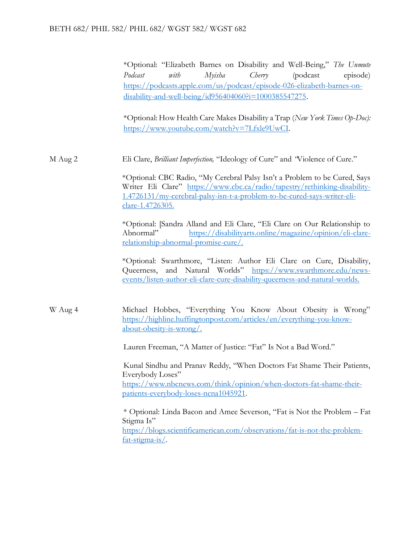\*Optional: "Elizabeth Barnes on Disability and Well-Being," *The Unmute Podcast with Myisha Cherry* (podcast episode) [https://podcasts.apple.com/us/podcast/episode-026-elizabeth-barnes-on](https://podcasts.apple.com/us/podcast/episode-026-elizabeth-barnes-on-disability-and-well-being/id956404060?i=1000385547275)[disability-and-well-being/id956404060?i=1000385547275.](https://podcasts.apple.com/us/podcast/episode-026-elizabeth-barnes-on-disability-and-well-being/id956404060?i=1000385547275)

\*Optional: How Health Care Makes Disability a Trap (*New York Times Op-Doc):*  [https://www.youtube.com/watch?v=7Lfxle9UwCI.](https://www.youtube.com/watch?v=7Lfxle9UwCI)

M Aug 2 Eli Clare, *Brilliant Imperfection,* "Ideology of Cure" and *"*Violence of Cure."

\*Optional: CBC Radio, "My Cerebral Palsy Isn't a Problem to be Cured, Says Writer Eli Clare" [https://www.cbc.ca/radio/tapestry/rethinking-disability-](https://www.cbc.ca/radio/tapestry/rethinking-disability-1.4726131/my-cerebral-palsy-isn-t-a-problem-to-be-cured-says-writer-eli-clare-1.4726305)[1.4726131/my-cerebral-palsy-isn-t-a-problem-to-be-cured-says-writer-eli](https://www.cbc.ca/radio/tapestry/rethinking-disability-1.4726131/my-cerebral-palsy-isn-t-a-problem-to-be-cured-says-writer-eli-clare-1.4726305)[clare-1.4726305.](https://www.cbc.ca/radio/tapestry/rethinking-disability-1.4726131/my-cerebral-palsy-isn-t-a-problem-to-be-cured-says-writer-eli-clare-1.4726305)

\*Optional: [Sandra Alland and Eli Clare, "Eli Clare on Our Relationship to Abnormal" [https://disabilityarts.online/magazine/opinion/eli-clare](https://disabilityarts.online/magazine/opinion/eli-clare-relationship-abnormal-promise-cure/)[relationship-abnormal-promise-cure/.](https://disabilityarts.online/magazine/opinion/eli-clare-relationship-abnormal-promise-cure/)

\*Optional: Swarthmore, "Listen: Author Eli Clare on Cure, Disability, Queerness, and Natural Worlds" [https://www.swarthmore.edu/news](https://www.swarthmore.edu/news-events/listen-author-eli-clare-cure-disability-queerness-and-natural-worlds)[events/listen-author-eli-clare-cure-disability-queerness-and-natural-worlds.](https://www.swarthmore.edu/news-events/listen-author-eli-clare-cure-disability-queerness-and-natural-worlds)

W Aug 4 Michael Hobbes, "Everything You Know About Obesity is Wrong" [https://highline.huffingtonpost.com/articles/en/everything-you-know](https://highline.huffingtonpost.com/articles/en/everything-you-know-about-obesity-is-wrong/)[about-obesity-is-wrong/.](https://highline.huffingtonpost.com/articles/en/everything-you-know-about-obesity-is-wrong/)

Lauren Freeman, "A Matter of Justice: "Fat" Is Not a Bad Word."

Kunal Sindhu and Pranav Reddy, "When Doctors Fat Shame Their Patients, Everybody Loses" [https://www.nbcnews.com/think/opinion/when-doctors-fat-shame-their](https://www.nbcnews.com/think/opinion/when-doctors-fat-shame-their-patients-everybody-loses-ncna1045921)[patients-everybody-loses-ncna1045921.](https://www.nbcnews.com/think/opinion/when-doctors-fat-shame-their-patients-everybody-loses-ncna1045921)

\* Optional: Linda Bacon and Amee Severson, "Fat is Not the Problem – Fat Stigma Is" [https://blogs.scientificamerican.com/observations/fat-is-not-the-problem](https://blogs.scientificamerican.com/observations/fat-is-not-the-problem-fat-stigma-is/)[fat-stigma-is/.](https://blogs.scientificamerican.com/observations/fat-is-not-the-problem-fat-stigma-is/)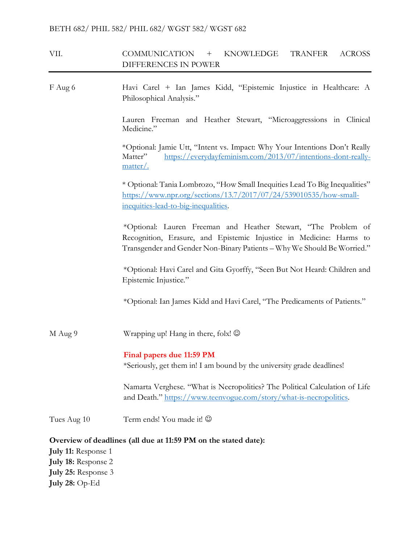# VII. COMMUNICATION + KNOWLEDGE TRANFER ACROSS DIFFERENCES IN POWER

F Aug 6 Havi Carel + Ian James Kidd, "Epistemic Injustice in Healthcare: A Philosophical Analysis." Lauren Freeman and Heather Stewart, "Microaggressions in Clinical Medicine." \*Optional: Jamie Utt, "Intent vs. Impact: Why Your Intentions Don't Really Matter" [https://everydayfeminism.com/2013/07/intentions-dont-really](https://everydayfeminism.com/2013/07/intentions-dont-really-matter/)[matter/.](https://everydayfeminism.com/2013/07/intentions-dont-really-matter/) \* Optional: Tania Lombrozo, "How Small Inequities Lead To Big Inequalities" [https://www.npr.org/sections/13.7/2017/07/24/539010535/how-small](https://www.npr.org/sections/13.7/2017/07/24/539010535/how-small-inequities-lead-to-big-inequalities)[inequities-lead-to-big-inequalities.](https://www.npr.org/sections/13.7/2017/07/24/539010535/how-small-inequities-lead-to-big-inequalities) \*Optional: Lauren Freeman and Heather Stewart, "The Problem of Recognition, Erasure, and Epistemic Injustice in Medicine: Harms to Transgender and Gender Non-Binary Patients – Why We Should Be Worried." \*Optional: Havi Carel and Gita Gyorffy, "Seen But Not Heard: Children and Epistemic Injustice." \*Optional: Ian James Kidd and Havi Carel, "The Predicaments of Patients." M Aug 9 Wrapping up! Hang in there, folx!  $\odot$ **Final papers due 11:59 PM**  \*Seriously, get them in! I am bound by the university grade deadlines! Namarta Verghese. "What is Necropolitics? The Political Calculation of Life and Death." [https://www.teenvogue.com/story/what-is-necropolitics.](https://www.teenvogue.com/story/what-is-necropolitics) Tues Aug 10 Term ends! You made it!  $\odot$ **Overview of deadlines (all due at 11:59 PM on the stated date): July 11:** Response 1 **July 18:** Response 2 **July 25:** Response 3

**July 28:** Op-Ed